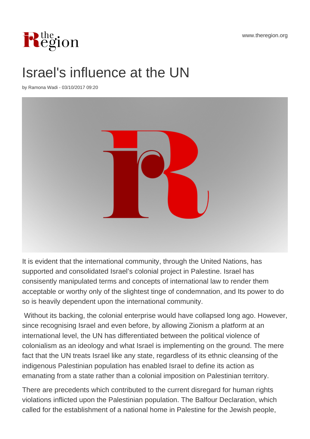www.theregion.org



## Israel's influence at the UN

by Ramona Wadi - 03/10/2017 09:20



It is evident that the international community, through the United Nations, has supported and consolidated Israel's colonial project in Palestine. Israel has consisently manipulated terms and concepts of international law to render them acceptable or worthy only of the slightest tinge of condemnation, and Its power to do so is heavily dependent upon the international community.

 Without its backing, the colonial enterprise would have collapsed long ago. However, since recognising Israel and even before, by allowing Zionism a platform at an international level, the UN has differentiated between the political violence of colonialism as an ideology and what Israel is implementing on the ground. The mere fact that the UN treats Israel like any state, regardless of its ethnic cleansing of the indigenous Palestinian population has enabled Israel to define its action as emanating from a state rather than a colonial imposition on Palestinian territory.

There are precedents which contributed to the current disregard for human rights violations inflicted upon the Palestinian population. The Balfour Declaration, which called for the establishment of a national home in Palestine for the Jewish people,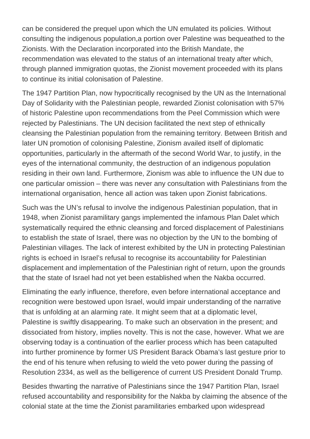can be considered the prequel upon which the UN emulated its policies. Without consulting the indigenous population,a portion over Palestine was bequeathed to the Zionists. With the Declaration incorporated into the British Mandate, the recommendation was elevated to the status of an international treaty after which, through planned immigration quotas, the Zionist movement proceeded with its plans to continue its initial colonisation of Palestine.

The 1947 Partition Plan, now hypocritically recognised by the UN as the International Day of Solidarity with the Palestinian people, rewarded Zionist colonisation with 57% of historic Palestine upon recommendations from the Peel Commission which were rejected by Palestinians. The UN decision facilitated the next step of ethnically cleansing the Palestinian population from the remaining territory. Between British and later UN promotion of colonising Palestine, Zionism availed itself of diplomatic opportunities, particularly in the aftermath of the second World War, to justify, in the eyes of the international community, the destruction of an indigenous population residing in their own land. Furthermore, Zionism was able to influence the UN due to one particular omission – there was never any consultation with Palestinians from the international organisation, hence all action was taken upon Zionist fabrications.

Such was the UN's refusal to involve the indigenous Palestinian population, that in 1948, when Zionist paramilitary gangs implemented the infamous Plan Dalet which systematically required the ethnic cleansing and forced displacement of Palestinians to establish the state of Israel, there was no objection by the UN to the bombing of Palestinian villages. The lack of interest exhibited by the UN in protecting Palestinian rights is echoed in Israel's refusal to recognise its accountability for Palestinian displacement and implementation of the Palestinian right of return, upon the grounds that the state of Israel had not yet been established when the Nakba occurred.

Eliminating the early influence, therefore, even before international acceptance and recognition were bestowed upon Israel, would impair understanding of the narrative that is unfolding at an alarming rate. It might seem that at a diplomatic level, Palestine is swiftly disappearing. To make such an observation in the present; and dissociated from history, implies novelty. This is not the case, however. What we are observing today is a continuation of the earlier process which has been catapulted into further prominence by former US President Barack Obama's last gesture prior to the end of his tenure when refusing to wield the veto power during the passing of Resolution 2334, as well as the belligerence of current US President Donald Trump.

Besides thwarting the narrative of Palestinians since the 1947 Partition Plan, Israel refused accountability and responsibility for the Nakba by claiming the absence of the colonial state at the time the Zionist paramilitaries embarked upon widespread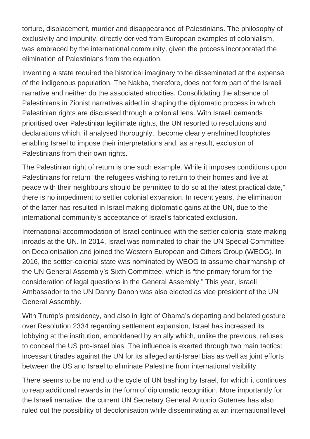torture, displacement, murder and disappearance of Palestinians. The philosophy of exclusivity and impunity, directly derived from European examples of colonialism, was embraced by the international community, given the process incorporated the elimination of Palestinians from the equation.

Inventing a state required the historical imaginary to be disseminated at the expense of the indigenous population. The Nakba, therefore, does not form part of the Israeli narrative and neither do the associated atrocities. Consolidating the absence of Palestinians in Zionist narratives aided in shaping the diplomatic process in which Palestinian rights are discussed through a colonial lens. With Israeli demands prioritised over Palestinian legitimate rights, the UN resorted to resolutions and declarations which, if analysed thoroughly, become clearly enshrined loopholes enabling Israel to impose their interpretations and, as a result, exclusion of Palestinians from their own rights.

The Palestinian right of return is one such example. While it imposes conditions upon Palestinians for return "the refugees wishing to return to their homes and live at peace with their neighbours should be permitted to do so at the latest practical date," there is no impediment to settler colonial expansion. In recent years, the elimination of the latter has resulted in Israel making diplomatic gains at the UN, due to the international community's acceptance of Israel's fabricated exclusion.

International accommodation of Israel continued with the settler colonial state making inroads at the UN. In 2014, Israel was nominated to chair the UN Special Committee on Decolonisation and joined the Western European and Others Group (WEOG). In 2016, the settler-colonial state was nominated by WEOG to assume chairmanship of the UN General Assembly's Sixth Committee, which is "the primary forum for the consideration of legal questions in the General Assembly." This year, Israeli Ambassador to the UN Danny Danon was also elected as vice president of the UN General Assembly.

With Trump's presidency, and also in light of Obama's departing and belated gesture over Resolution 2334 regarding settlement expansion, Israel has increased its lobbying at the institution, emboldened by an ally which, unlike the previous, refuses to conceal the US pro-Israel bias. The influence is exerted through two main tactics: incessant tirades against the UN for its alleged anti-Israel bias as well as joint efforts between the US and Israel to eliminate Palestine from international visibility.

There seems to be no end to the cycle of UN bashing by Israel, for which it continues to reap additional rewards in the form of diplomatic recognition. More importantly for the Israeli narrative, the current UN Secretary General Antonio Guterres has also ruled out the possibility of decolonisation while disseminating at an international level